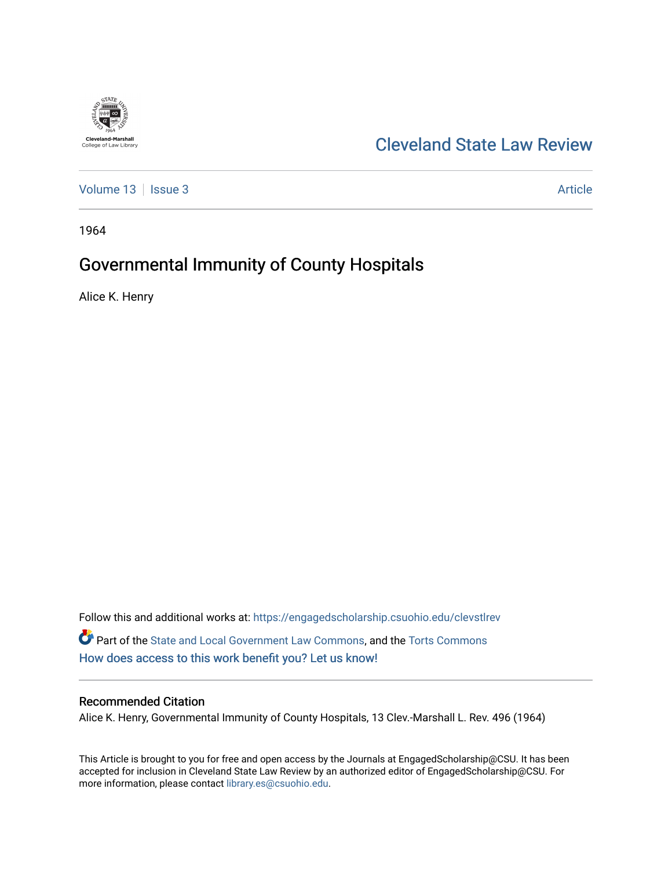

## [Cleveland State Law Review](https://engagedscholarship.csuohio.edu/clevstlrev)

[Volume 13](https://engagedscholarship.csuohio.edu/clevstlrev/vol13) | [Issue 3](https://engagedscholarship.csuohio.edu/clevstlrev/vol13/iss3) Article

1964

# Governmental Immunity of County Hospitals

Alice K. Henry

Follow this and additional works at: [https://engagedscholarship.csuohio.edu/clevstlrev](https://engagedscholarship.csuohio.edu/clevstlrev?utm_source=engagedscholarship.csuohio.edu%2Fclevstlrev%2Fvol13%2Fiss3%2F10&utm_medium=PDF&utm_campaign=PDFCoverPages) Part of the [State and Local Government Law Commons](http://network.bepress.com/hgg/discipline/879?utm_source=engagedscholarship.csuohio.edu%2Fclevstlrev%2Fvol13%2Fiss3%2F10&utm_medium=PDF&utm_campaign=PDFCoverPages), and the [Torts Commons](http://network.bepress.com/hgg/discipline/913?utm_source=engagedscholarship.csuohio.edu%2Fclevstlrev%2Fvol13%2Fiss3%2F10&utm_medium=PDF&utm_campaign=PDFCoverPages) [How does access to this work benefit you? Let us know!](http://library.csuohio.edu/engaged/)

### Recommended Citation

Alice K. Henry, Governmental Immunity of County Hospitals, 13 Clev.-Marshall L. Rev. 496 (1964)

This Article is brought to you for free and open access by the Journals at EngagedScholarship@CSU. It has been accepted for inclusion in Cleveland State Law Review by an authorized editor of EngagedScholarship@CSU. For more information, please contact [library.es@csuohio.edu](mailto:library.es@csuohio.edu).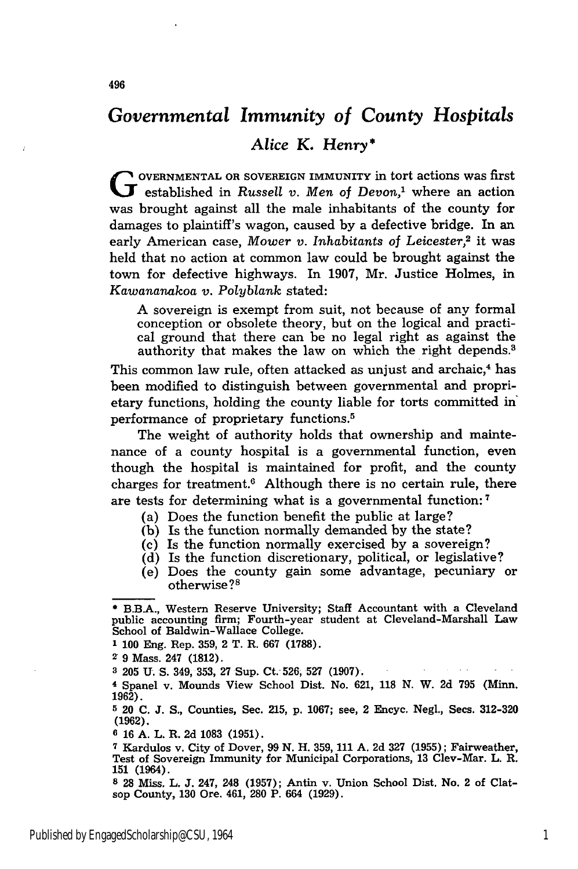## *Governmental Immunity of County Hospitals*

*Alice K. Henry\**

**<sup>G</sup>OVERNMENTAL** OR **SOVEREIGN IMMUNITY** in tort actions was first **Extragalactive Constants of Devon**,<sup>1</sup> where an action was brought against all the male inhabitants of the county for damages to plaintiff's wagon, caused **by** a defective bridge. In an early American case, *Mower v. Inhabitants of Leicester,2* it was held that no action at common law could be brought against the town for defective highways. In 1907, Mr. Justice Holmes, in *Kawananakoa v. Polyblank* stated:

A sovereign is exempt from suit, not because of any formal conception or obsolete theory, but on the logical and practical ground that there can be no legal right as against the authority that makes the law on which the right depends.<sup>3</sup>

This common law rule, often attacked as unjust and archaic,<sup>4</sup> has been modified to distinguish between governmental and proprietary functions, holding the county liable for torts committed in' performance of proprietary functions. <sup>5</sup>

The weight of authority holds that ownership and maintenance of a county hospital is a governmental function, even though the hospital is maintained for profit, and the county charges for treatment. $6$  Although there is no certain rule, there are tests for determining what is a governmental function:<sup>7</sup>

- (a) Does the function benefit the public at large?
- **(b)** Is the function normally demanded by the state?
- (c) Is the function normally exercised by a sovereign?
- (d) Is the function discretionary, political, or legislative?
- (e) Does the county gain some advantage, pecuniary or otherwise?8

**8 28** Miss. L. **J.** 247, 248 **(1957);** Antin v. Union School Dist. No. 2 of Clatsop County, **130** Ore. 461, **280** P. 664 **(1929).**

**<sup>\*</sup>** B.B.A., Western Reserve University; Staff Accountant with a Cleveland public accounting firm; Fourth-year student at Cleveland-Marshall Law School of Baldwin-Wallace College.

**<sup>1</sup> 100** Eng. Rep. 359, 2 T. R. **667** (1788).

**<sup>2</sup> 9** Mass. 247 **(1812).**

**<sup>3 205</sup> U. S.** 349, **353,** 27 Sup. Ct.-526, **527 (1907).**

**<sup>4</sup>** Spanel v. Mounds View School Dist. No. 621, 118 N. W. 2d **795** (Minn. **1962).**

**<sup>5</sup>** 20 **C.** J. S., Counties, Sec. 215, p. 1067; see, 2 Encyc. Negl., Secs. **312-320 (1962).**

**<sup>6 16</sup> A.** L. R. **2d 1083 (1951).**

**<sup>7</sup>** Kardulos v. City of Dover, **99 N.** H. **359, 111 A. 2d 327 (1955);** Fairweather, Test of Sovereign Immunity for Municipal Corporations, **13** Clev-Mar. L. R. 151 (1964).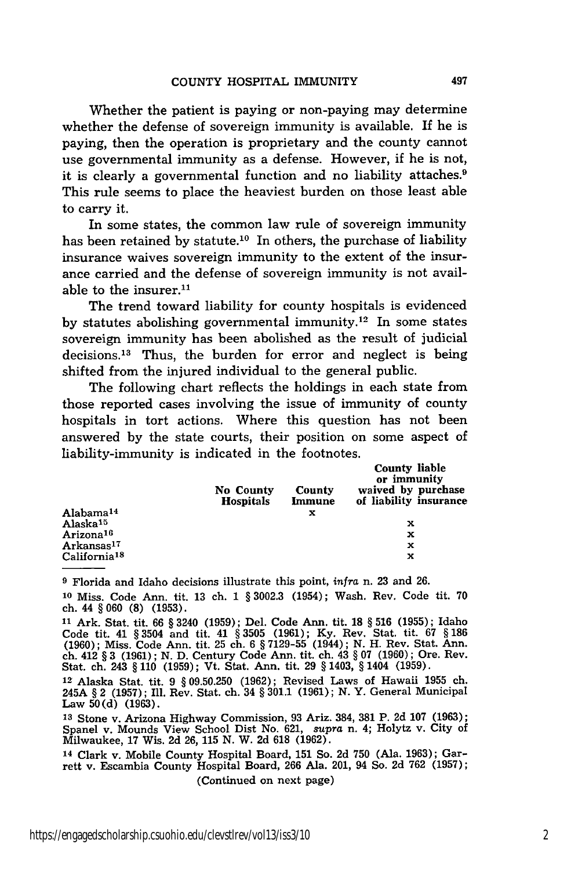Whether the patient is paying or non-paying may determine whether the defense of sovereign immunity is available. If he is paying, then the operation is proprietary and the county cannot use governmental immunity as a defense. However, if he is not, it is clearly a governmental function and no liability attaches.<sup>9</sup> This rule seems to place the heaviest burden on those least able to carry it.

In some states, the common law rule of sovereign immunity has been retained by statute.<sup>10</sup> In others, the purchase of liability insurance waives sovereign immunity to the extent of the insurance carried and the defense of sovereign immunity is not available to the insurer.<sup>11</sup>

The trend toward liability for county hospitals is evidenced by statutes abolishing governmental immunity.<sup>12</sup> In some states sovereign immunity has been abolished as the result of judicial decisions.<sup>13</sup> Thus, the burden for error and neglect is being shifted from the injured individual to the general public.

The following chart reflects the holdings in each state from those reported cases involving the issue of immunity of county hospitals in tort actions. Where this question has not been answered by the state courts, their position on some aspect of liability-immunity is indicated in the footnotes.

|                          | No County<br><b>Hospitals</b> | County<br>Immune | <b>County liable</b><br>or immunity<br>waived by purchase<br>of liability insurance |
|--------------------------|-------------------------------|------------------|-------------------------------------------------------------------------------------|
| Alabama <sup>14</sup>    |                               | x                |                                                                                     |
| Alaska <sup>15</sup>     |                               |                  | x                                                                                   |
| Arizona <sup>16</sup>    |                               |                  | x                                                                                   |
| Arkansas <sup>17</sup>   |                               |                  | x                                                                                   |
| California <sup>18</sup> |                               |                  | x                                                                                   |

**9** Florida and Idaho decisions illustrate this point, *infra* n. 23 and 26.

**<sup>10</sup>**Miss. Code Ann. tit. 13 ch. 1 § 3002.3 (1954); Wash. Rev. Code tit. 70 ch. 44 § **060 (8)** (1953).

**<sup>11</sup>**Ark. Stat. tit. 66 § 3240 (1959); Del. Code Ann. tit. **18** § **516 (1955);** Idaho Code tit. 41 § 3504 **and** tit. 41 § **3505 (1961); Ky.** Rev. Stat. tit. **67** § **186** (1960); Miss. Code Ann. tit. 25 ch. 6 § 7129-55 (1944); N. H. Rev. Stat. Ann. ch. 412 § **3 (1961); N. D.** Century Code Ann. tit. ch. 43 § 07 (1960); Ore. Rev. Stat. ch. 243 § **110 (1959);** Vt. Stat. Ann. tit. **29** § 1403, § 1404 (1959).

**<sup>12</sup>**Alaska Stat. tit. 9 § 09.50.250 (1962); Revised Laws of Hawaii **1955** ch. 245A § 2 **(1957);** Ill. Rev. Stat. ch. 34 § 301.1 (1961); N. Y. General Municipal **Law 50(d) (1963).**

**<sup>13</sup>**Stone v. Arizona Highway Commission, 93 Ariz. 384, **381** P. 2d **107** (1963); Spanel v. Mounds View School Dist No. 621, *supra* n. 4; Holytz v. City of Milwaukee, 17 Wis. 2d 26, **115 N.** W. **2d 618** (1962).

**<sup>14</sup>** Clark v. Mobile County Hospital Board, **151** So. 2d 750 (Ala. 1963); Garrett v. Escambia County Hospital Board, 266 Ala. 201, 94 So. 2d **762** (1957); (Continued on next page)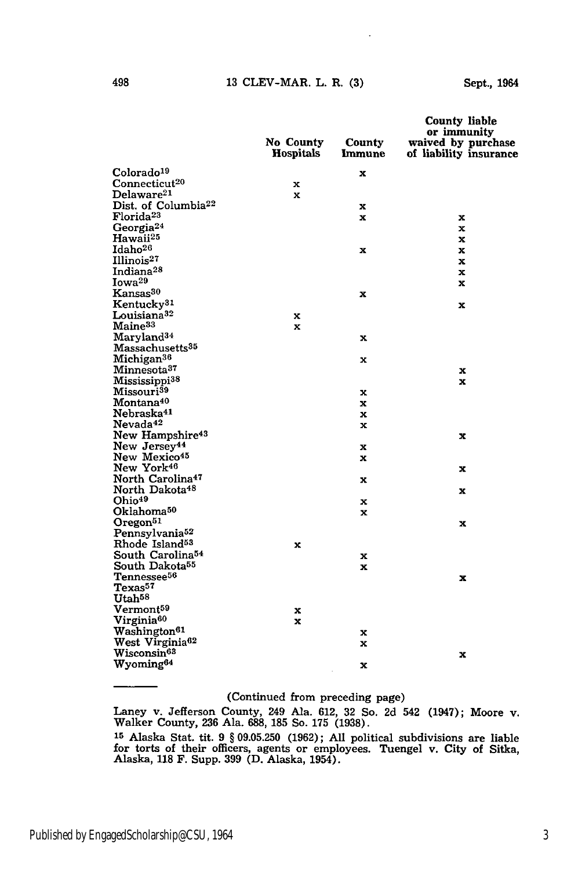#### 13 CLEV-MAR. L. R. (3)

|                                 | No County | County      | <b>County liable</b><br>or immunity<br>waived by purchase |
|---------------------------------|-----------|-------------|-----------------------------------------------------------|
|                                 | Hospitals | Immune      | of liability insurance                                    |
| Colorado <sup>19</sup>          |           | x           |                                                           |
| Connecticut <sup>20</sup>       | x         |             |                                                           |
| Delaware <sup>21</sup>          | x         |             |                                                           |
| Dist. of Columbia <sup>22</sup> |           | x           |                                                           |
| Florida <sup>23</sup>           |           | $\mathbf x$ | x                                                         |
| Georgia <sup>24</sup>           |           |             | x                                                         |
| Hawaii <sup>25</sup>            |           |             | x                                                         |
| Idaho <sup>26</sup>             |           | x           | x                                                         |
| Illinois <sup>27</sup>          |           |             | x                                                         |
| Indiana <sup>28</sup>           |           |             | x                                                         |
| Iowa <sup>29</sup>              |           |             | x                                                         |
| Kansas <sup>30</sup>            |           | x           |                                                           |
| Kentucky <sup>31</sup>          |           |             | x                                                         |
| Louisiana <sup>32</sup>         | x         |             |                                                           |
| Maine <sup>33</sup>             | x         |             |                                                           |
| Maryland <sup>34</sup>          |           | x           |                                                           |
| Massachusetts <sup>35</sup>     |           |             |                                                           |
| Michigan <sup>36</sup>          |           | x           |                                                           |
| Minnesota <sup>37</sup>         |           |             | x                                                         |
| Mississippi <sup>38</sup>       |           |             | x                                                         |
| Missouri <sup>39</sup>          |           | x           |                                                           |
| Montana <sup>40</sup>           |           | x           |                                                           |
| Nebraska <sup>41</sup>          |           | x           |                                                           |
| Nevada <sup>42</sup>            |           | x           |                                                           |
| New Hampshire <sup>43</sup>     |           |             | x                                                         |
| New Jersey <sup>44</sup>        |           | x           |                                                           |
| New Mexico <sup>45</sup>        |           | x           |                                                           |
| New York <sup>46</sup>          |           |             | x                                                         |
| North Carolina <sup>47</sup>    |           | x           |                                                           |
| North Dakota <sup>48</sup>      |           |             | x                                                         |
| Ohio <sup>49</sup>              |           | x           |                                                           |
| Oklahoma <sup>50</sup>          |           | x           |                                                           |
| Oregon <sup>51</sup>            |           |             | x                                                         |
| Pennsylvania <sup>52</sup>      |           |             |                                                           |
| Rhode Island <sup>53</sup>      | x         |             |                                                           |
| South Carolina <sup>54</sup>    |           | x           |                                                           |
| South Dakota <sup>55</sup>      |           | x           |                                                           |
| Tennessee <sup>56</sup>         |           |             | x                                                         |
| Texas <sup>57</sup>             |           |             |                                                           |
| Utah <sup>58</sup>              |           |             |                                                           |
| Vermont <sup>59</sup>           | x         |             |                                                           |
| Virginia <sup>60</sup>          | x         |             |                                                           |
| Washington <sup>61</sup>        |           | x           |                                                           |
| West Virginia <sup>62</sup>     |           | x           |                                                           |
| $W$ isconsin $^{63}$            |           |             | x                                                         |
| Wyoming <sup>64</sup>           |           | x           |                                                           |

### (Continued from preceding page)

Laney v. Jefferson County, 249 Ala. **612,** 32 So. 2d 542 (1947); Moore v. Walker County, 236 Ala. 688, **185** So. **175** (1938).

**<sup>15</sup>**Alaska Stat. tit. 9 § 09.05.250 (1962); All political subdivisions are liable for torts of their officers, agents or employees. Tuengel v. City of Sitka, Alaska, **118** F. Supp. **399** (D. Alaska, 1954).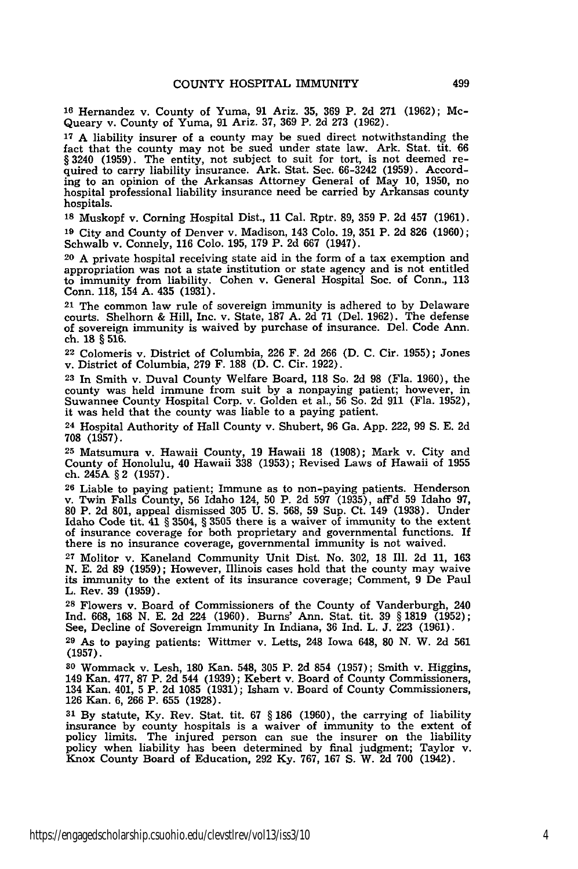**16** Hernandez v. County of Yuma, **91** Ariz. **35, 369** P. **2d 271 (1962);** Mc-Queary v. County of Yuma, **91** Ariz. **37, 369** P. **2d 273 (1962).**

**17 A** liability insurer of a county may be sued direct notwithstanding the fact that the county may not be sued under state law. Ark. Stat. tit. **66** § 3240 (1959). The entity, not subject to suit for tort, is not deemed required to carry liability insurance. Ark. Stat. Sec. **66-3242 (1959).** Accord**ing** to an opinion of the Arkansas Attorney General of May **10, 1950,** no hospital professional liability insurance need be carried **by** Arkansas county hospitals.

**<sup>18</sup>**Muskopf v. Corning Hospital Dist., **11** Cal. Rptr. **89, 359** P. **2d** 457 **(1961).**

**<sup>19</sup>**City and County of Denver v. Madison, 143 **Colo. 19, 351** P. **2d 826 (1960);** Schwalb v. Connely, **116 Colo. 195, 179** P. **2d 667** (1947).

**<sup>20</sup>**A private hospital receiving state aid in the form of a tax exemption and appropriation was not a state institution or state agency and is not entitled to immunity from liability. Cohen v. General Hospital Soc. of Conn., **113** Conn. **118,** 154 **A.** 435 **(1931).**

**<sup>21</sup>**The common law rule of sovereign immunity is adhered to **by** Delaware courts. Shelhorn **&** Hill, Inc. v. State, **187 A. 2d 71** (Del. **1962).** The defense of sovereign immunity is waived **by** purchase of insurance. Del. Code Ann. ch. **18** § **516.**

22 Colomeris v. District of Columbia, 226 F. 2d 266 (D. **C.** Cir. 1955); Jones v. District of Columbia, **279** F. 188 **(D.** C. Cir. 1922).

**<sup>23</sup>**In Smith v. Duval County Welfare Board, 118 So. **2d** 98 (Fla. 1960), the county was held immune from suit by a nonpaying patient; however, in Suwannee County Hospital Corp. v. Golden et al., 56 So. 2d 911 (Fla. 1952), it was held that the county was liable to a paying patient.

**<sup>24</sup>**Hospital Authority of Hall County v. Shubert, 96 Ga. **App.** 222, 99 **S. E. 2d** 708 (1957).

**25** Matsumura v. Hawaii County, 19 Hawaii 18 (1908); Mark v. City and County of Honolulu, 40 Hawaii 338 (1953); Revised Laws of Hawaii of 1955 ch. 245A § 2 (1957).

**<sup>26</sup>**Liable to paying patient; Immune as to non-paying patients. Henderson v. Twin Falls County, 56 Idaho 124, 50 P. **2d 597** (1935), afFd 59 Idaho 97, 80 P. **2d** 801, appeal dismissed 305 U. **S.** 568, 59 Sup. Ct. 149 (1938). Under Idaho Code tit. 41 § 3504, § **3505** there is a waiver of immunity to the extent of insurance coverage for both proprietary and governmental functions. If there is no insurance coverage, governmental immunity is not waived.

**<sup>27</sup>**Molitor v. Kaneland Community Unit Dist. No. **302, 18 Ill. 2d 11, 163 N. E. 2d 89 (1959);** However, Illinois cases hold that the county may waive its immunity to the extent of its insurance coverage; Comment, **9** De Paul L. Rev. **39 (1959).**

**<sup>28</sup>**Flowers v. Board of Commissioners of the County of Vanderburgh, 240 Ind. **668, 168 N. E. 2d** 224 **(1960).** Burns' Ann. Stat. tit. **39** § **1819 (1952);** See, Decline of Sovereign Immunity In Indiana, **36 Ind.** L. **J. 223 (1961).**

**<sup>29</sup>**As to paying patients: Wittmer v. Letts, 248 Iowa 648, **80 N.** W. **2d 561 (1957).**

**<sup>30</sup>**Wommack v. Lesh, 180 Kan. 548, 305 P. **2d** 854 (1957); Smith v. Higgins, 149 Kan. 477, 87 P. **2d** 544 (1939); Kebert v. Board of County Commissioners, 134 Kan. 401, 5 P. **2d** 1085 (1931); Isham v. Board of County Commissioners, 126 Kan. 6, 266 P. 655 (1928).

**31 By** statute, **Ky.** Rev. Stat. tit. 67 § 186 (1960), the carrying of liability insurance by county hospitals is a waiver of immunity to the extent of policy limits. The injured person can sue the insurer on the liability policy when liability has been determined by final judgment; Taylor v. Knox County Board of Education, **292 Ky.** 767, 167 **S.** W. **2d 700** (1942).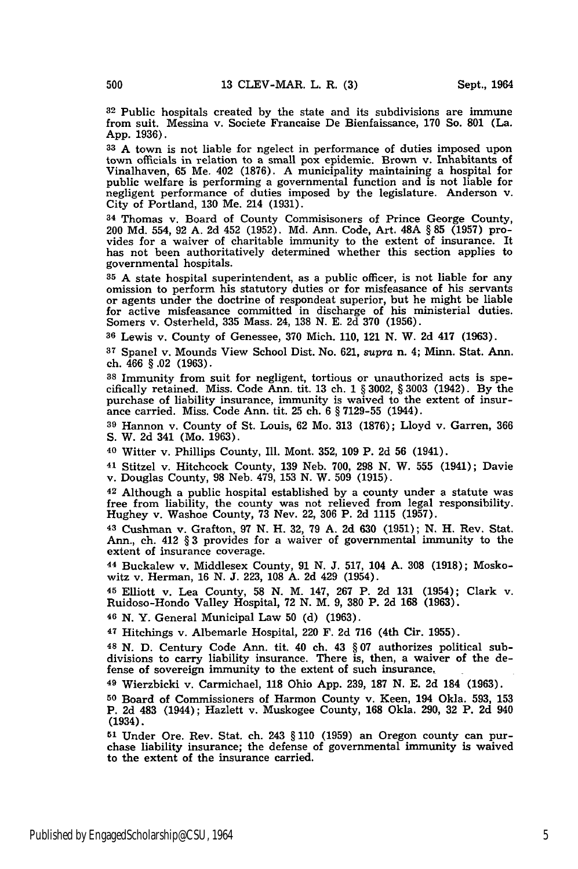**<sup>32</sup>**Public hospitals created by the state and its subdivisions are immune from suit. Messina v. Societe Francaise De Bienfaissance, **170** So. **801** (La. App. 1936).

**<sup>33</sup>**A town is not liable for ngelect in performance of duties imposed upon town officials in relation to a small pox epidemic. Brown v. Inhabitants of Vinalhaven, 65 Me. 402 (1876). A municipality maintaining a hospital for public welfare is performing a governmental function and is not liable for negligent performance of duties imposed by the legislature. Anderson v. City of Portland, 130 Me. 214 (1931).

**<sup>34</sup>**Thomas v. Board of County Commisisoners of Prince George County, 200 **Md.** 554, 92 A. 2d 452 (1952). Md. Ann. Code, Art. 48A § **85** (1957) provides for a waiver of charitable immunity to the extent of insurance. It has not been authoritatively determined whether this section applies to governmental hospitals.

**35 A** state hospital superintendent, as a public officer, is not liable for any omission to perform his statutory duties or for misfeasance of his servants or agents under the doctrine of respondeat superior, but he might be liable for active misfeasance committed in discharge of his ministerial duties. Somers v. Osterheld, 335 Mass. 24, 138 N. E. 2d **370** (1956).

**<sup>36</sup>**Lewis v. County of Genessee, **370** Mich. 110, 121 N. W. 2d 417 **(1963).**

**<sup>37</sup>**Spanel v. Mounds View School Dist. No. 621, *supra* n. 4; Minn. Stat. Ann. ch. 466 § .02 (1963).

**38** Immunity from suit for negligent, tortious or unauthorized acts is specifically retained. Miss. Code Ann. tit. 13 ch. 1 § 3002, § 3003 (1942). By the purchase of liability insurance, immunity is waived to the extent of insurance carried. Miss. Code Ann. tit. 25 ch. 6 § 7129-55 (1944).

**<sup>39</sup>**Hannon v. County of St. Louis, 62 Mo. 313 (1876); Lloyd v. Garren, 366 S. W. 2d 341 (Mo. 1963).

40 Witter v. Phillips County, Ill. Mont. 352, 109 P. 2d 56 (1941).

41 Stitzel v. Hitchcock County, 139 Neb. 700, 298 **N.** W. 555 (1941); Davie v. Douglas County, **98** Neb. 479, 153 N. W. **509** (1915).

**<sup>42</sup>**Although a public hospital established **by** a county under a statute was free from liability, the county was not relieved from legal responsibility. Hughey v. Washoe County, 73 Nev. 22, 306 P. 2d 1115 (1957).

43 Cushman v. Grafton, 97 N. H. **32,** 79 **A.** 2d 630 (1951); **N.** H. Rev. Stat. Ann., ch. 412 § 3 provides for a waiver of governmental immunity to the extent of insurance coverage.

44 Buckalew v. Middlesex County, 91 N. J. 517, 104 A. **308** (1918); Moskowitz v. Herman, 16 **N.** J. 223, 108 A. 2d 429 (1954).

**<sup>45</sup>**Elliott v. Lea County, **58** N. M. 147, 267 P. 2d 131 (1954); Clark v. Ruidoso-Hondo Valley Hospital, 72 N. M. 9, **380** P. 2d 168 (1963).

**46 N.** Y. General Municipal Law 50 (d) (1963).

47 Hitchings v. Albemarle Hospital, 220 F. 2d 716 (4th Cir. 1955).

**48 N. D.** Century Code Ann. tit. 40 ch. 43 § 07 authorizes political subdivisions to carry liability insurance. There is, then, a waiver of the defense of sovereign immunity to the extent of such insurance.

**<sup>49</sup>**Wierzbicki v. Carmichael, 118 Ohio App. 239, 187 **N.** E. 2d 184 (1963).

**<sup>50</sup>**Board of Commissioners of Harmon County v. Keen, 194 Okla. 593, 153 P. 2d 483 (1944); Hazlett v. Muskogee County, **168** Okla. 290, 32 P. 2d 940 (1934).

**51** Under Ore. Rev. Stat. ch. 243 § 110 (1959) an Oregon county can purchase liability insurance; the defense of governmental immunity is waived to the extent of the insurance carried.